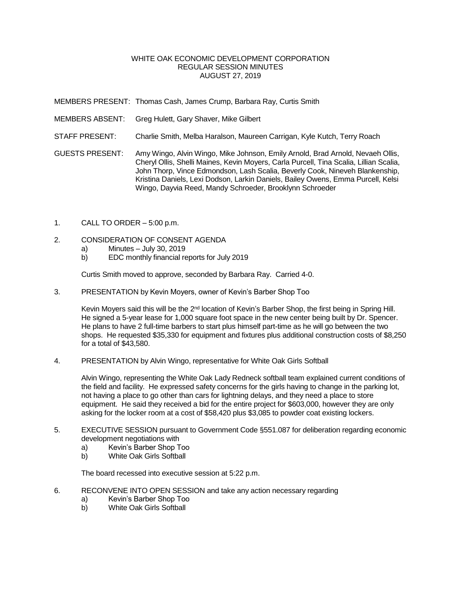## WHITE OAK ECONOMIC DEVELOPMENT CORPORATION REGULAR SESSION MINUTES AUGUST 27, 2019

MEMBERS PRESENT: Thomas Cash, James Crump, Barbara Ray, Curtis Smith

- MEMBERS ABSENT: Greg Hulett, Gary Shaver, Mike Gilbert
- STAFF PRESENT: Charlie Smith, Melba Haralson, Maureen Carrigan, Kyle Kutch, Terry Roach
- GUESTS PRESENT: Amy Wingo, Alvin Wingo, Mike Johnson, Emily Arnold, Brad Arnold, Nevaeh Ollis, Cheryl Ollis, Shelli Maines, Kevin Moyers, Carla Purcell, Tina Scalia, Lillian Scalia, John Thorp, Vince Edmondson, Lash Scalia, Beverly Cook, Nineveh Blankenship, Kristina Daniels, Lexi Dodson, Larkin Daniels, Bailey Owens, Emma Purcell, Kelsi Wingo, Dayvia Reed, Mandy Schroeder, Brooklynn Schroeder
- 1. CALL TO ORDER 5:00 p.m.
- 2. CONSIDERATION OF CONSENT AGENDA
	- a) Minutes July 30, 2019<br>b) EDC monthly financial re
	- b) EDC monthly financial reports for July 2019

Curtis Smith moved to approve, seconded by Barbara Ray. Carried 4-0.

3. PRESENTATION by Kevin Moyers, owner of Kevin's Barber Shop Too

Kevin Moyers said this will be the 2<sup>nd</sup> location of Kevin's Barber Shop, the first being in Spring Hill. He signed a 5-year lease for 1,000 square foot space in the new center being built by Dr. Spencer. He plans to have 2 full-time barbers to start plus himself part-time as he will go between the two shops. He requested \$35,330 for equipment and fixtures plus additional construction costs of \$8,250 for a total of \$43,580.

4. PRESENTATION by Alvin Wingo, representative for White Oak Girls Softball

Alvin Wingo, representing the White Oak Lady Redneck softball team explained current conditions of the field and facility. He expressed safety concerns for the girls having to change in the parking lot, not having a place to go other than cars for lightning delays, and they need a place to store equipment. He said they received a bid for the entire project for \$603,000, however they are only asking for the locker room at a cost of \$58,420 plus \$3,085 to powder coat existing lockers.

- 5. EXECUTIVE SESSION pursuant to Government Code §551.087 for deliberation regarding economic development negotiations with
	- a) Kevin's Barber Shop Too
	- b) White Oak Girls Softball

The board recessed into executive session at 5:22 p.m.

- 6. RECONVENE INTO OPEN SESSION and take any action necessary regarding
	- a) Kevin's Barber Shop Too
	- b) White Oak Girls Softball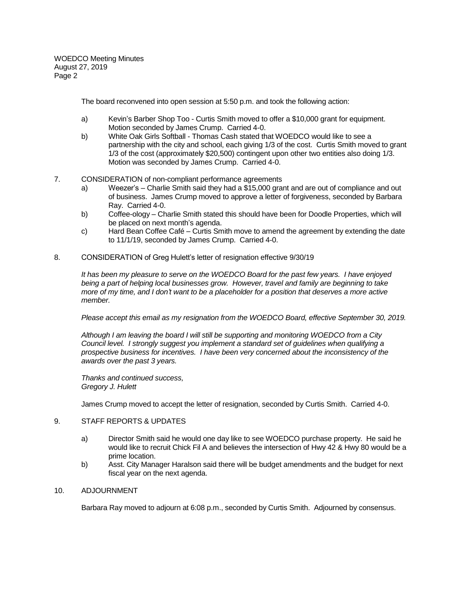WOEDCO Meeting Minutes August 27, 2019 Page 2

The board reconvened into open session at 5:50 p.m. and took the following action:

- a) Kevin's Barber Shop Too Curtis Smith moved to offer a \$10,000 grant for equipment. Motion seconded by James Crump. Carried 4-0.
- b) White Oak Girls Softball Thomas Cash stated that WOEDCO would like to see a partnership with the city and school, each giving 1/3 of the cost. Curtis Smith moved to grant 1/3 of the cost (approximately \$20,500) contingent upon other two entities also doing 1/3. Motion was seconded by James Crump. Carried 4-0.
- 7. CONSIDERATION of non-compliant performance agreements
	- a) Weezer's Charlie Smith said they had a \$15,000 grant and are out of compliance and out of business. James Crump moved to approve a letter of forgiveness, seconded by Barbara Ray. Carried 4-0.
	- b) Coffee-ology Charlie Smith stated this should have been for Doodle Properties, which will be placed on next month's agenda.
	- c) Hard Bean Coffee Café Curtis Smith move to amend the agreement by extending the date to 11/1/19, seconded by James Crump. Carried 4-0.
- 8. CONSIDERATION of Greg Hulett's letter of resignation effective 9/30/19

*It has been my pleasure to serve on the WOEDCO Board for the past few years. I have enjoyed being a part of helping local businesses grow. However, travel and family are beginning to take more of my time, and I don't want to be a placeholder for a position that deserves a more active member.*

*Please accept this email as my resignation from the WOEDCO Board, effective September 30, 2019.*

*Although I am leaving the board I will still be supporting and monitoring WOEDCO from a City Council level. I strongly suggest you implement a standard set of guidelines when qualifying a prospective business for incentives. I have been very concerned about the inconsistency of the awards over the past 3 years.*

*Thanks and continued success, Gregory J. Hulett*

James Crump moved to accept the letter of resignation, seconded by Curtis Smith. Carried 4-0.

## 9. STAFF REPORTS & UPDATES

- a) Director Smith said he would one day like to see WOEDCO purchase property. He said he would like to recruit Chick Fil A and believes the intersection of Hwy 42 & Hwy 80 would be a prime location.
- b) Asst. City Manager Haralson said there will be budget amendments and the budget for next fiscal year on the next agenda.

## 10. ADJOURNMENT

Barbara Ray moved to adjourn at 6:08 p.m., seconded by Curtis Smith. Adjourned by consensus.